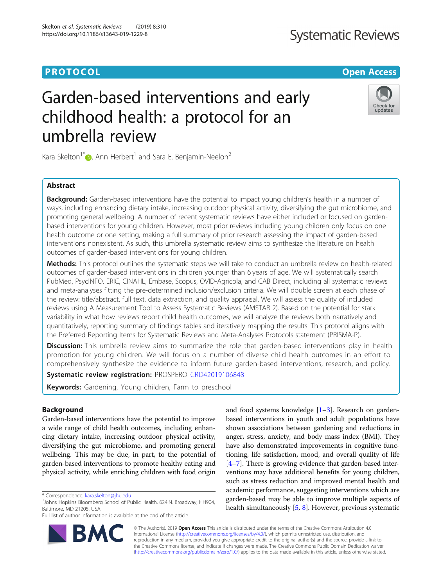# Garden-based interventions and early childhood health: a protocol for an umbrella review

Kara Skelton<sup>1\*</sup> $\bullet$ [,](http://orcid.org/0000-0002-4531-0534) Ann Herbert<sup>1</sup> and Sara E. Benjamin-Neelon<sup>2</sup>

# Abstract

Background: Garden-based interventions have the potential to impact young children's health in a number of ways, including enhancing dietary intake, increasing outdoor physical activity, diversifying the gut microbiome, and promoting general wellbeing. A number of recent systematic reviews have either included or focused on gardenbased interventions for young children. However, most prior reviews including young children only focus on one health outcome or one setting, making a full summary of prior research assessing the impact of garden-based interventions nonexistent. As such, this umbrella systematic review aims to synthesize the literature on health outcomes of garden-based interventions for young children.

Methods: This protocol outlines the systematic steps we will take to conduct an umbrella review on health-related outcomes of garden-based interventions in children younger than 6 years of age. We will systematically search PubMed, PsycINFO, ERIC, CINAHL, Embase, Scopus, OVID-Agricola, and CAB Direct, including all systematic reviews and meta-analyses fitting the pre-determined inclusion/exclusion criteria. We will double screen at each phase of the review: title/abstract, full text, data extraction, and quality appraisal. We will assess the quality of included reviews using A Measurement Tool to Assess Systematic Reviews (AMSTAR 2). Based on the potential for stark variability in what how reviews report child health outcomes, we will analyze the reviews both narratively and quantitatively, reporting summary of findings tables and iteratively mapping the results. This protocol aligns with the Preferred Reporting Items for Systematic Reviews and Meta-Analyses Protocols statement (PRISMA-P).

**Discussion:** This umbrella review aims to summarize the role that garden-based interventions play in health promotion for young children. We will focus on a number of diverse child health outcomes in an effort to comprehensively synthesize the evidence to inform future garden-based interventions, research, and policy.

Systematic review registration: PROSPERO [CRD42019106848](https://www.crd.york.ac.uk/prospero/display_record.php?RecordID=106848)

Keywords: Gardening, Young children, Farm to preschool

# Background

Garden-based interventions have the potential to improve a wide range of child health outcomes, including enhancing dietary intake, increasing outdoor physical activity, diversifying the gut microbiome, and promoting general wellbeing. This may be due, in part, to the potential of garden-based interventions to promote healthy eating and physical activity, while enriching children with food origin

\* Correspondence: [kara.skelton@jhu.edu](mailto:kara.skelton@jhu.edu) <sup>1</sup>

Full list of author information is available at the end of the article

© The Author(s). 2019 Open Access This article is distributed under the terms of the Creative Commons Attribution 4.0 International License [\(http://creativecommons.org/licenses/by/4.0/](http://creativecommons.org/licenses/by/4.0/)), which permits unrestricted use, distribution, and reproduction in any medium, provided you give appropriate credit to the original author(s) and the source, provide a link to the Creative Commons license, and indicate if changes were made. The Creative Commons Public Domain Dedication waiver [\(http://creativecommons.org/publicdomain/zero/1.0/](http://creativecommons.org/publicdomain/zero/1.0/)) applies to the data made available in this article, unless otherwise stated.

based interventions in youth and adult populations have shown associations between gardening and reductions in anger, stress, anxiety, and body mass index (BMI). They have also demonstrated improvements in cognitive functioning, life satisfaction, mood, and overall quality of life [[4](#page-6-0)–[7](#page-6-0)]. There is growing evidence that garden-based interventions may have additional benefits for young children, such as stress reduction and improved mental health and academic performance, suggesting interventions which are garden-based may be able to improve multiple aspects of health simultaneously [[5](#page-6-0), [8](#page-6-0)]. However, previous systematic

and food systems knowledge [[1](#page-6-0)–[3\]](#page-6-0). Research on garden-

**PROTOCOL CONSUMING THE OPEN ACCESS** 





<sup>&</sup>lt;sup>1</sup> Johns Hopkins Bloomberg School of Public Health, 624 N. Broadway, HH904, Baltimore, MD 21205, USA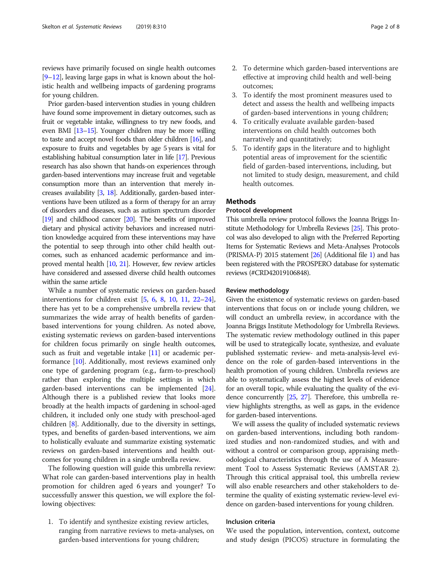reviews have primarily focused on single health outcomes [[9](#page-6-0)–[12](#page-7-0)], leaving large gaps in what is known about the holistic health and wellbeing impacts of gardening programs for young children.

Prior garden-based intervention studies in young children have found some improvement in dietary outcomes, such as fruit or vegetable intake, willingness to try new foods, and even BMI [\[13](#page-7-0)–[15\]](#page-7-0). Younger children may be more willing to taste and accept novel foods than older children [\[16](#page-7-0)], and exposure to fruits and vegetables by age 5 years is vital for establishing habitual consumption later in life [\[17\]](#page-7-0). Previous research has also shown that hands-on experiences through garden-based interventions may increase fruit and vegetable consumption more than an intervention that merely increases availability [\[3,](#page-6-0) [18](#page-7-0)]. Additionally, garden-based interventions have been utilized as a form of therapy for an array of disorders and diseases, such as autism spectrum disorder [[19\]](#page-7-0) and childhood cancer [[20](#page-7-0)]. The benefits of improved dietary and physical activity behaviors and increased nutrition knowledge acquired from these interventions may have the potential to seep through into other child health outcomes, such as enhanced academic performance and improved mental health [\[10,](#page-6-0) [21](#page-7-0)]. However, few review articles have considered and assessed diverse child health outcomes within the same article

While a number of systematic reviews on garden-based interventions for children exist [\[5,](#page-6-0) [6](#page-6-0), [8,](#page-6-0) [10](#page-6-0), [11,](#page-6-0) [22](#page-7-0)–[24](#page-7-0)], there has yet to be a comprehensive umbrella review that summarizes the wide array of health benefits of gardenbased interventions for young children. As noted above, existing systematic reviews on garden-based interventions for children focus primarily on single health outcomes, such as fruit and vegetable intake  $[11]$  or academic performance [\[10\]](#page-6-0). Additionally, most reviews examined only one type of gardening program (e.g., farm-to-preschool) rather than exploring the multiple settings in which garden-based interventions can be implemented [[24](#page-7-0)]. Although there is a published review that looks more broadly at the health impacts of gardening in school-aged children, it included only one study with preschool-aged children [\[8\]](#page-6-0). Additionally, due to the diversity in settings, types, and benefits of garden-based interventions, we aim to holistically evaluate and summarize existing systematic reviews on garden-based interventions and health outcomes for young children in a single umbrella review.

The following question will guide this umbrella review: What role can garden-based interventions play in health promotion for children aged 6 years and younger? To successfully answer this question, we will explore the following objectives:

1. To identify and synthesize existing review articles, ranging from narrative reviews to meta-analyses, on garden-based interventions for young children;

- 2. To determine which garden-based interventions are effective at improving child health and well-being outcomes;
- 3. To identify the most prominent measures used to detect and assess the health and wellbeing impacts of garden-based interventions in young children;
- 4. To critically evaluate available garden-based interventions on child health outcomes both narratively and quantitatively;
- 5. To identify gaps in the literature and to highlight potential areas of improvement for the scientific field of garden-based interventions, including, but not limited to study design, measurement, and child health outcomes.

# Methods

# Protocol development

This umbrella review protocol follows the Joanna Briggs Institute Methodology for Umbrella Reviews [\[25\]](#page-7-0). This protocol was also developed to align with the Preferred Reporting Items for Systematic Reviews and Meta-Analyses Protocols (PRISMA-P) 2015 statement [[26](#page-7-0)] (Additional file [1](#page-6-0)) and has been registered with the PROSPERO database for systematic reviews (#CRD42019106848).

# Review methodology

Given the existence of systematic reviews on garden-based interventions that focus on or include young children, we will conduct an umbrella review, in accordance with the Joanna Briggs Institute Methodology for Umbrella Reviews. The systematic review methodology outlined in this paper will be used to strategically locate, synthesize, and evaluate published systematic review- and meta-analysis-level evidence on the role of garden-based interventions in the health promotion of young children. Umbrella reviews are able to systematically assess the highest levels of evidence for an overall topic, while evaluating the quality of the evidence concurrently [[25](#page-7-0), [27\]](#page-7-0). Therefore, this umbrella review highlights strengths, as well as gaps, in the evidence for garden-based interventions.

We will assess the quality of included systematic reviews on garden-based interventions, including both randomized studies and non-randomized studies, and with and without a control or comparison group, appraising methodological characteristics through the use of A Measurement Tool to Assess Systematic Reviews (AMSTAR 2). Through this critical appraisal tool, this umbrella review will also enable researchers and other stakeholders to determine the quality of existing systematic review-level evidence on garden-based interventions for young children.

# Inclusion criteria

We used the population, intervention, context, outcome and study design (PICOS) structure in formulating the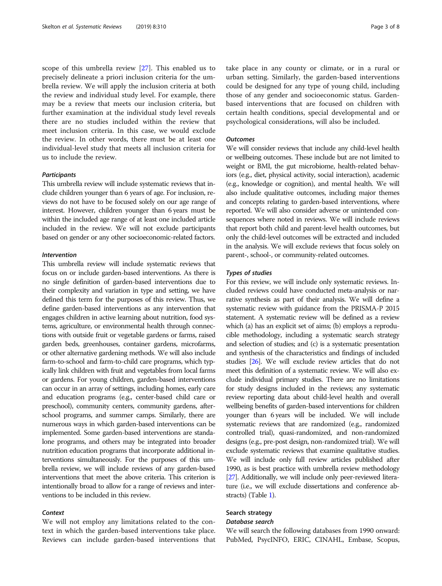scope of this umbrella review [\[27](#page-7-0)]. This enabled us to precisely delineate a priori inclusion criteria for the umbrella review. We will apply the inclusion criteria at both the review and individual study level. For example, there may be a review that meets our inclusion criteria, but further examination at the individual study level reveals there are no studies included within the review that meet inclusion criteria. In this case, we would exclude the review. In other words, there must be at least one individual-level study that meets all inclusion criteria for us to include the review.

# **Participants**

This umbrella review will include systematic reviews that include children younger than 6 years of age. For inclusion, reviews do not have to be focused solely on our age range of interest. However, children younger than 6 years must be within the included age range of at least one included article included in the review. We will not exclude participants based on gender or any other socioeconomic-related factors.

# Intervention

This umbrella review will include systematic reviews that focus on or include garden-based interventions. As there is no single definition of garden-based interventions due to their complexity and variation in type and setting, we have defined this term for the purposes of this review. Thus, we define garden-based interventions as any intervention that engages children in active learning about nutrition, food systems, agriculture, or environmental health through connections with outside fruit or vegetable gardens or farms, raised garden beds, greenhouses, container gardens, microfarms, or other alternative gardening methods. We will also include farm-to-school and farm-to-child care programs, which typically link children with fruit and vegetables from local farms or gardens. For young children, garden-based interventions can occur in an array of settings, including homes, early care and education programs (e.g., center-based child care or preschool), community centers, community gardens, afterschool programs, and summer camps. Similarly, there are numerous ways in which garden-based interventions can be implemented. Some garden-based interventions are standalone programs, and others may be integrated into broader nutrition education programs that incorporate additional interventions simultaneously. For the purposes of this umbrella review, we will include reviews of any garden-based interventions that meet the above criteria. This criterion is intentionally broad to allow for a range of reviews and interventions to be included in this review.

# **Context**

We will not employ any limitations related to the context in which the garden-based interventions take place. Reviews can include garden-based interventions that take place in any county or climate, or in a rural or urban setting. Similarly, the garden-based interventions could be designed for any type of young child, including those of any gender and socioeconomic status. Gardenbased interventions that are focused on children with certain health conditions, special developmental and or psychological considerations, will also be included.

## **Outcomes**

We will consider reviews that include any child-level health or wellbeing outcomes. These include but are not limited to weight or BMI, the gut microbiome, health-related behaviors (e.g., diet, physical activity, social interaction), academic (e.g., knowledge or cognition), and mental health. We will also include qualitative outcomes, including major themes and concepts relating to garden-based interventions, where reported. We will also consider adverse or unintended consequences where noted in reviews. We will include reviews that report both child and parent-level health outcomes, but only the child-level outcomes will be extracted and included in the analysis. We will exclude reviews that focus solely on parent-, school-, or community-related outcomes.

#### Types of studies

For this review, we will include only systematic reviews. Included reviews could have conducted meta-analysis or narrative synthesis as part of their analysis. We will define a systematic review with guidance from the PRISMA-P 2015 statement. A systematic review will be defined as a review which (a) has an explicit set of aims; (b) employs a reproducible methodology, including a systematic search strategy and selection of studies; and (c) is a systematic presentation and synthesis of the characteristics and findings of included studies [\[26](#page-7-0)]. We will exclude review articles that do not meet this definition of a systematic review. We will also exclude individual primary studies. There are no limitations for study designs included in the reviews; any systematic review reporting data about child-level health and overall wellbeing benefits of garden-based interventions for children younger than 6 years will be included. We will include systematic reviews that are randomized (e.g., randomized controlled trial), quasi-randomized, and non-randomized designs (e.g., pre-post design, non-randomized trial). We will exclude systematic reviews that examine qualitative studies. We will include only full review articles published after 1990, as is best practice with umbrella review methodology [[27\]](#page-7-0). Additionally, we will include only peer-reviewed literature (i.e., we will exclude dissertations and conference abstracts) (Table [1\)](#page-3-0).

# Search strategy

# Database search

We will search the following databases from 1990 onward: PubMed, PsycINFO, ERIC, CINAHL, Embase, Scopus,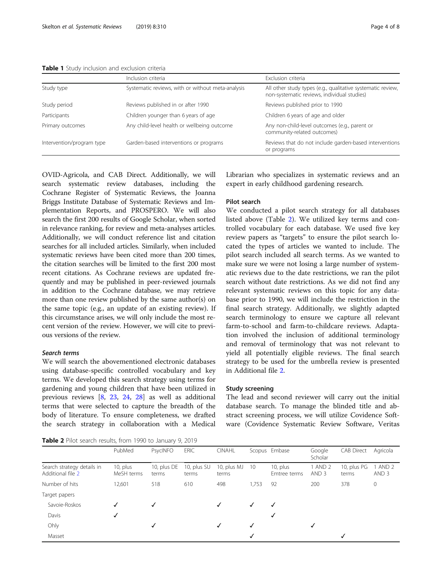|                           | Inclusion criteria                                | Exclusion criteria<br>All other study types (e.g., qualitative systematic review,<br>non-systematic reviews, individual studies) |  |  |  |
|---------------------------|---------------------------------------------------|----------------------------------------------------------------------------------------------------------------------------------|--|--|--|
| Study type                | Systematic reviews, with or without meta-analysis |                                                                                                                                  |  |  |  |
| Study period              | Reviews published in or after 1990                | Reviews published prior to 1990                                                                                                  |  |  |  |
| Participants              | Children younger than 6 years of age              | Children 6 years of age and older                                                                                                |  |  |  |
| Primary outcomes          | Any child-level health or wellbeing outcome       | Any non-child-level outcomes (e.g., parent or<br>community-related outcomes)                                                     |  |  |  |
| Intervention/program type | Garden-based interventions or programs            | Reviews that do not include garden-based interventions<br>or programs                                                            |  |  |  |

<span id="page-3-0"></span>Table 1 Study inclusion and exclusion criteria

OVID-Agricola, and CAB Direct. Additionally, we will search systematic review databases, including the Cochrane Register of Systematic Reviews, the Joanna Briggs Institute Database of Systematic Reviews and Implementation Reports, and PROSPERO. We will also search the first 200 results of Google Scholar, when sorted in relevance ranking, for review and meta-analyses articles. Additionally, we will conduct reference list and citation searches for all included articles. Similarly, when included systematic reviews have been cited more than 200 times, the citation searches will be limited to the first 200 most recent citations. As Cochrane reviews are updated frequently and may be published in peer-reviewed journals in addition to the Cochrane database, we may retrieve more than one review published by the same author(s) on the same topic (e.g., an update of an existing review). If this circumstance arises, we will only include the most recent version of the review. However, we will cite to previous versions of the review.

# Search terms

We will search the abovementioned electronic databases using database-specific controlled vocabulary and key terms. We developed this search strategy using terms for gardening and young children that have been utilized in previous reviews [\[8](#page-6-0), [23,](#page-7-0) [24](#page-7-0), [28](#page-7-0)] as well as additional terms that were selected to capture the breadth of the body of literature. To ensure completeness, we drafted the search strategy in collaboration with a Medical Librarian who specializes in systematic reviews and an expert in early childhood gardening research.

# Pilot search

We conducted a pilot search strategy for all databases listed above (Table 2). We utilized key terms and controlled vocabulary for each database. We used five key review papers as "targets" to ensure the pilot search located the types of articles we wanted to include. The pilot search included all search terms. As we wanted to make sure we were not losing a large number of systematic reviews due to the date restrictions, we ran the pilot search without date restrictions. As we did not find any relevant systematic reviews on this topic for any database prior to 1990, we will include the restriction in the final search strategy. Additionally, we slightly adapted search terminology to ensure we capture all relevant farm-to-school and farm-to-childcare reviews. Adaptation involved the inclusion of additional terminology and removal of terminology that was not relevant to yield all potentially eligible reviews. The final search strategy to be used for the umbrella review is presented in Additional file [2.](#page-6-0)

# Study screening

The lead and second reviewer will carry out the initial database search. To manage the blinded title and abstract screening process, we will utilize Covidence Software (Covidence Systematic Review Software, Veritas

Table 2 Pilot search results, from 1990 to January 9, 2019

|                                                 | PubMed                    | PsycINFO             | <b>ERIC</b>          | <b>CINAHL</b>        |       | Scopus Embase               | Google<br>Scholar                    | <b>CAB Direct</b>    | Agricola                    |
|-------------------------------------------------|---------------------------|----------------------|----------------------|----------------------|-------|-----------------------------|--------------------------------------|----------------------|-----------------------------|
| Search strategy details in<br>Additional file 2 | $10$ , plus<br>MeSH terms | 10, plus DE<br>terms | 10, plus SU<br>terms | 10, plus MJ<br>terms | - 10  | $10$ , plus<br>Emtree terms | AND <sub>2</sub><br>AND <sub>3</sub> | 10, plus PG<br>terms | 1 AND 2<br>AND <sub>3</sub> |
| Number of hits                                  | 12,601                    | 518                  | 610                  | 498                  | 1,753 | 92                          | 200                                  | 378                  | $\mathbf 0$                 |
| Target papers                                   |                           |                      |                      |                      |       |                             |                                      |                      |                             |
| Savoie-Roskos                                   | √                         | $\checkmark$         |                      | √                    | ✓     | √                           |                                      |                      |                             |
| Davis                                           | √                         |                      |                      |                      |       | √                           |                                      |                      |                             |
| Ohly                                            |                           | √                    |                      | √                    | √     |                             | √                                    |                      |                             |
| Masset                                          |                           |                      |                      |                      | √     |                             |                                      | √                    |                             |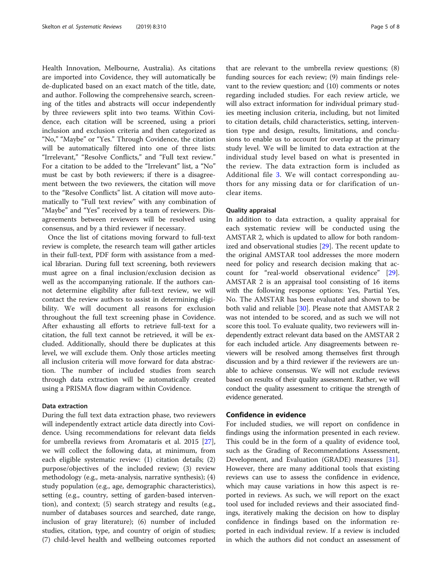Health Innovation, Melbourne, Australia). As citations are imported into Covidence, they will automatically be de-duplicated based on an exact match of the title, date, and author. Following the comprehensive search, screening of the titles and abstracts will occur independently by three reviewers split into two teams. Within Covidence, each citation will be screened, using a priori inclusion and exclusion criteria and then categorized as "No," "Maybe" or "Yes." Through Covidence, the citation will be automatically filtered into one of three lists: "Irrelevant," "Resolve Conflicts," and "Full text review." For a citation to be added to the "Irrelevant" list, a "No" must be cast by both reviewers; if there is a disagreement between the two reviewers, the citation will move to the "Resolve Conflicts" list. A citation will move automatically to "Full text review" with any combination of "Maybe" and "Yes" received by a team of reviewers. Disagreements between reviewers will be resolved using consensus, and by a third reviewer if necessary.

Once the list of citations moving forward to full-text review is complete, the research team will gather articles in their full-text, PDF form with assistance from a medical librarian. During full text screening, both reviewers must agree on a final inclusion/exclusion decision as well as the accompanying rationale. If the authors cannot determine eligibility after full-text review, we will contact the review authors to assist in determining eligibility. We will document all reasons for exclusion throughout the full text screening phase in Covidence. After exhausting all efforts to retrieve full-text for a citation, the full text cannot be retrieved, it will be excluded. Additionally, should there be duplicates at this level, we will exclude them. Only those articles meeting all inclusion criteria will move forward for data abstraction. The number of included studies from search through data extraction will be automatically created using a PRISMA flow diagram within Covidence.

# Data extraction

During the full text data extraction phase, two reviewers will independently extract article data directly into Covidence. Using recommendations for relevant data fields for umbrella reviews from Aromataris et al. 2015 [\[27](#page-7-0)], we will collect the following data, at minimum, from each eligible systematic review: (1) citation details; (2) purpose/objectives of the included review; (3) review methodology (e.g., meta-analysis, narrative synthesis); (4) study population (e.g., age, demographic characteristics), setting (e.g., country, setting of garden-based intervention), and context; (5) search strategy and results (e.g., number of databases sources and searched, date range, inclusion of gray literature); (6) number of included studies, citation, type, and country of origin of studies; (7) child-level health and wellbeing outcomes reported

that are relevant to the umbrella review questions; (8) funding sources for each review; (9) main findings relevant to the review question; and (10) comments or notes regarding included studies. For each review article, we will also extract information for individual primary studies meeting inclusion criteria, including, but not limited to citation details, child characteristics, setting, intervention type and design, results, limitations, and conclusions to enable us to account for overlap at the primary study level. We will be limited to data extraction at the individual study level based on what is presented in the review. The data extraction form is included as Additional file [3](#page-6-0). We will contact corresponding authors for any missing data or for clarification of unclear items.

# Quality appraisal

In addition to data extraction, a quality appraisal for each systematic review will be conducted using the AMSTAR 2, which is updated to allow for both randomized and observational studies [[29\]](#page-7-0). The recent update to the original AMSTAR tool addresses the more modern need for policy and research decision making that account for "real-world observational evidence" [\[29](#page-7-0)]. AMSTAR 2 is an appraisal tool consisting of 16 items with the following response options: Yes, Partial Yes, No. The AMSTAR has been evaluated and shown to be both valid and reliable [\[30\]](#page-7-0). Please note that AMSTAR 2 was not intended to be scored, and as such we will not score this tool. To evaluate quality, two reviewers will independently extract relevant data based on the AMSTAR 2 for each included article. Any disagreements between reviewers will be resolved among themselves first through discussion and by a third reviewer if the reviewers are unable to achieve consensus. We will not exclude reviews based on results of their quality assessment. Rather, we will conduct the quality assessment to critique the strength of evidence generated.

# Confidence in evidence

For included studies, we will report on confidence in findings using the information presented in each review. This could be in the form of a quality of evidence tool, such as the Grading of Recommendations Assessment, Development, and Evaluation (GRADE) measures [\[31](#page-7-0)]. However, there are many additional tools that existing reviews can use to assess the confidence in evidence, which may cause variations in how this aspect is reported in reviews. As such, we will report on the exact tool used for included reviews and their associated findings, iteratively making the decision on how to display confidence in findings based on the information reported in each individual review. If a review is included in which the authors did not conduct an assessment of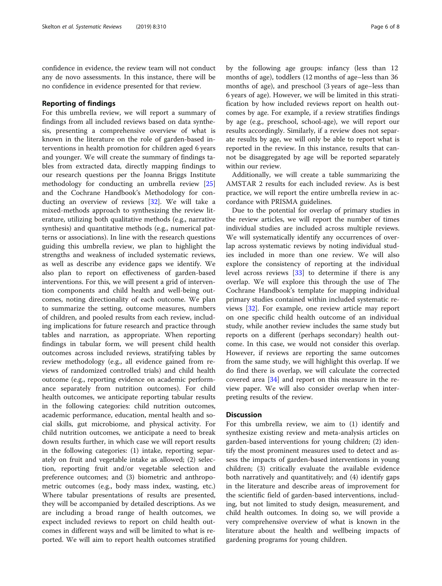confidence in evidence, the review team will not conduct any de novo assessments. In this instance, there will be no confidence in evidence presented for that review.

# Reporting of findings

For this umbrella review, we will report a summary of findings from all included reviews based on data synthesis, presenting a comprehensive overview of what is known in the literature on the role of garden-based interventions in health promotion for children aged 6 years and younger. We will create the summary of findings tables from extracted data, directly mapping findings to our research questions per the Joanna Briggs Institute methodology for conducting an umbrella review [[25](#page-7-0)] and the Cochrane Handbook's Methodology for conducting an overview of reviews [[32\]](#page-7-0). We will take a mixed-methods approach to synthesizing the review literature, utilizing both qualitative methods (e.g., narrative synthesis) and quantitative methods (e.g., numerical patterns or associations). In line with the research questions guiding this umbrella review, we plan to highlight the strengths and weakness of included systematic reviews, as well as describe any evidence gaps we identify. We also plan to report on effectiveness of garden-based interventions. For this, we will present a grid of intervention components and child health and well-being outcomes, noting directionality of each outcome. We plan to summarize the setting, outcome measures, numbers of children, and pooled results from each review, including implications for future research and practice through tables and narration, as appropriate. When reporting findings in tabular form, we will present child health outcomes across included reviews, stratifying tables by review methodology (e.g., all evidence gained from reviews of randomized controlled trials) and child health outcome (e.g., reporting evidence on academic performance separately from nutrition outcomes). For child health outcomes, we anticipate reporting tabular results in the following categories: child nutrition outcomes, academic performance, education, mental health and social skills, gut microbiome, and physical activity. For child nutrition outcomes, we anticipate a need to break down results further, in which case we will report results in the following categories: (1) intake, reporting separately on fruit and vegetable intake as allowed; (2) selection, reporting fruit and/or vegetable selection and preference outcomes; and (3) biometric and anthropometric outcomes (e.g., body mass index, wasting, etc.) Where tabular presentations of results are presented, they will be accompanied by detailed descriptions. As we are including a broad range of health outcomes, we expect included reviews to report on child health outcomes in different ways and will be limited to what is reported. We will aim to report health outcomes stratified by the following age groups: infancy (less than 12 months of age), toddlers (12 months of age–less than 36 months of age), and preschool (3 years of age–less than 6 years of age). However, we will be limited in this stratification by how included reviews report on health outcomes by age. For example, if a review stratifies findings by age (e.g., preschool, school-age), we will report our results accordingly. Similarly, if a review does not separate results by age, we will only be able to report what is reported in the review. In this instance, results that cannot be disaggregated by age will be reported separately within our review.

Additionally, we will create a table summarizing the AMSTAR 2 results for each included review. As is best practice, we will report the entire umbrella review in accordance with PRISMA guidelines.

Due to the potential for overlap of primary studies in the review articles, we will report the number of times individual studies are included across multiple reviews. We will systematically identify any occurrences of overlap across systematic reviews by noting individual studies included in more than one review. We will also explore the consistency of reporting at the individual level across reviews [\[33](#page-7-0)] to determine if there is any overlap. We will explore this through the use of The Cochrane Handbook's template for mapping individual primary studies contained within included systematic reviews [\[32](#page-7-0)]. For example, one review article may report on one specific child health outcome of an individual study, while another review includes the same study but reports on a different (perhaps secondary) health outcome. In this case, we would not consider this overlap. However, if reviews are reporting the same outcomes from the same study, we will highlight this overlap. If we do find there is overlap, we will calculate the corrected covered area [[34\]](#page-7-0) and report on this measure in the review paper. We will also consider overlap when interpreting results of the review.

# **Discussion**

For this umbrella review, we aim to (1) identify and synthesize existing review and meta-analysis articles on garden-based interventions for young children; (2) identify the most prominent measures used to detect and assess the impacts of garden-based interventions in young children; (3) critically evaluate the available evidence both narratively and quantitatively; and (4) identify gaps in the literature and describe areas of improvement for the scientific field of garden-based interventions, including, but not limited to study design, measurement, and child health outcomes. In doing so, we will provide a very comprehensive overview of what is known in the literature about the health and wellbeing impacts of gardening programs for young children.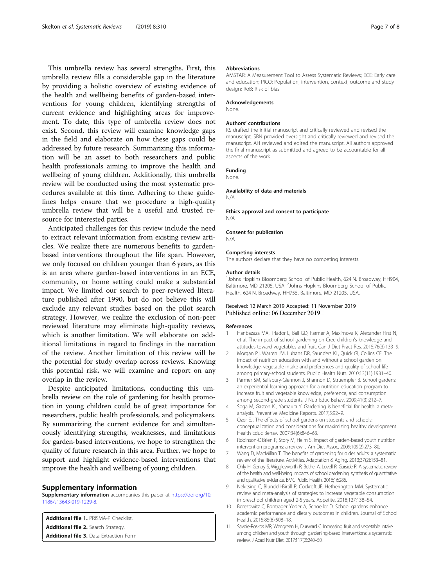<span id="page-6-0"></span>This umbrella review has several strengths. First, this umbrella review fills a considerable gap in the literature by providing a holistic overview of existing evidence of the health and wellbeing benefits of garden-based interventions for young children, identifying strengths of current evidence and highlighting areas for improvement. To date, this type of umbrella review does not exist. Second, this review will examine knowledge gaps in the field and elaborate on how these gaps could be addressed by future research. Summarizing this information will be an asset to both researchers and public health professionals aiming to improve the health and wellbeing of young children. Additionally, this umbrella review will be conducted using the most systematic procedures available at this time. Adhering to these guidelines helps ensure that we procedure a high-quality umbrella review that will be a useful and trusted resource for interested parties.

Anticipated challenges for this review include the need to extract relevant information from existing review articles. We realize there are numerous benefits to gardenbased interventions throughout the life span. However, we only focused on children younger than 6 years, as this is an area where garden-based interventions in an ECE, community, or home setting could make a substantial impact. We limited our search to peer-reviewed literature published after 1990, but do not believe this will exclude any relevant studies based on the pilot search strategy. However, we realize the exclusion of non-peer reviewed literature may eliminate high-quality reviews, which is another limitation. We will elaborate on additional limitations in regard to findings in the narration of the review. Another limitation of this review will be the potential for study overlap across reviews. Knowing this potential risk, we will examine and report on any overlap in the review.

Despite anticipated limitations, conducting this umbrella review on the role of gardening for health promotion in young children could be of great importance for researchers, public health professionals, and policymakers. By summarizing the current evidence for and simultaneously identifying strengths, weaknesses, and limitations for garden-based interventions, we hope to strengthen the quality of future research in this area. Further, we hope to support and highlight evidence-based interventions that improve the health and wellbeing of young children.

# Supplementary information

Supplementary information accompanies this paper at [https://doi.org/10.](https://doi.org/10.1186/s13643-019-1229-8) [1186/s13643-019-1229-8.](https://doi.org/10.1186/s13643-019-1229-8)

Additional file 1. PRISMA-P Checklist. Additional file 2. Search Strategy Additional file 3. Data Extraction Form.

#### Abbreviations

AMSTAR: A Measurement Tool to Assess Systematic Reviews; ECE: Early care and education; PICO: Population, intervention, context, outcome and study design; RoB: Risk of bias

#### Acknowledgements

None.

#### Authors' contributions

KS drafted the initial manuscript and critically reviewed and revised the manuscript. SBN provided oversight and critically reviewed and revised the manuscript. AH reviewed and edited the manuscript. All authors approved the final manuscript as submitted and agreed to be accountable for all aspects of the work.

# Funding

None.

#### Availability of data and materials

N/A

Ethics approval and consent to participate N/A

#### Consent for publication

N/A

#### Competing interests

The authors declare that they have no competing interests.

#### Author details

<sup>1</sup> Johns Hopkins Bloomberg School of Public Health, 624 N. Broadway, HH904 Baltimore, MD 21205, USA. <sup>2</sup>Johns Hopkins Bloomberg School of Public Health, 624 N. Broadway, HH755, Baltimore, MD 21205, USA.

# Received: 12 March 2019 Accepted: 11 November 2019 Published online: 06 December 2019

#### References

- 1. Hanbazaza MA, Triador L, Ball GD, Farmer A, Maximova K, Alexander First N, et al. The impact of school gardening on Cree children's knowledge and attitudes toward vegetables and fruit. Can J Diet Pract Res. 2015;76(3):133–9.
- 2. Morgan PJ, Warren JM, Lubans DR, Saunders KL, Quick GI, Collins CE. The impact of nutrition education with and without a school garden on knowledge, vegetable intake and preferences and quality of school life among primary-school students. Public Health Nutr. 2010;13(11):1931–40.
- 3. Parmer SM, Salisbury-Glennon J, Shannon D, Struempler B. School gardens: an experiential learning approach for a nutrition education program to increase fruit and vegetable knowledge, preference, and consumption among second-grade students. J Nutr Educ Behav. 2009;41(3):212–7.
- 4. Soga M, Gaston KJ, Yamaura Y. Gardening is beneficial for health: a metaanalysis. Preventive Medicine Reports. 2017;5:92–9.
- 5. Ozer EJ. The effects of school gardens on students and schools: conceptualization and considerations for maximizing healthy development. Health Educ Behav. 2007;34(6):846–63.
- 6. Robinson-O'Brien R, Story M, Heim S. Impact of garden-based youth nutrition intervention programs: a review. J Am Diet Assoc. 2009;109(2):273–80.
- 7. Wang D, MacMillan T. The benefits of gardening for older adults: a systematic review of the literature. Activities, Adaptation & Aging. 2013;37(2):153–81.
- 8. Ohly H, Gentry S, Wigglesworth R, Bethel A, Lovell R, Garside R. A systematic review of the health and well-being impacts of school gardening: synthesis of quantitative and qualitative evidence. BMC Public Health. 2016;16:286.
- 9. Nekitsing C, Blundell-Birtill P, Cockroft JE, Hetherington MM. Systematic review and meta-analysis of strategies to increase vegetable consumption in preschool children aged 2-5 years. Appetite. 2018;127:138–54.
- 10. Berezowitz C, Bontrager Yoder A, Schoeller D. School gardens enhance academic performance and dietary outcomes in children. Journal of School Health. 2015;85(8):508–18.
- 11. Savoie-Roskos MR, Wengreen H, Durward C. Increasing fruit and vegetable intake among children and youth through gardening-based interventions: a systematic review. J Acad Nutr Diet. 2017;117(2):240–50.